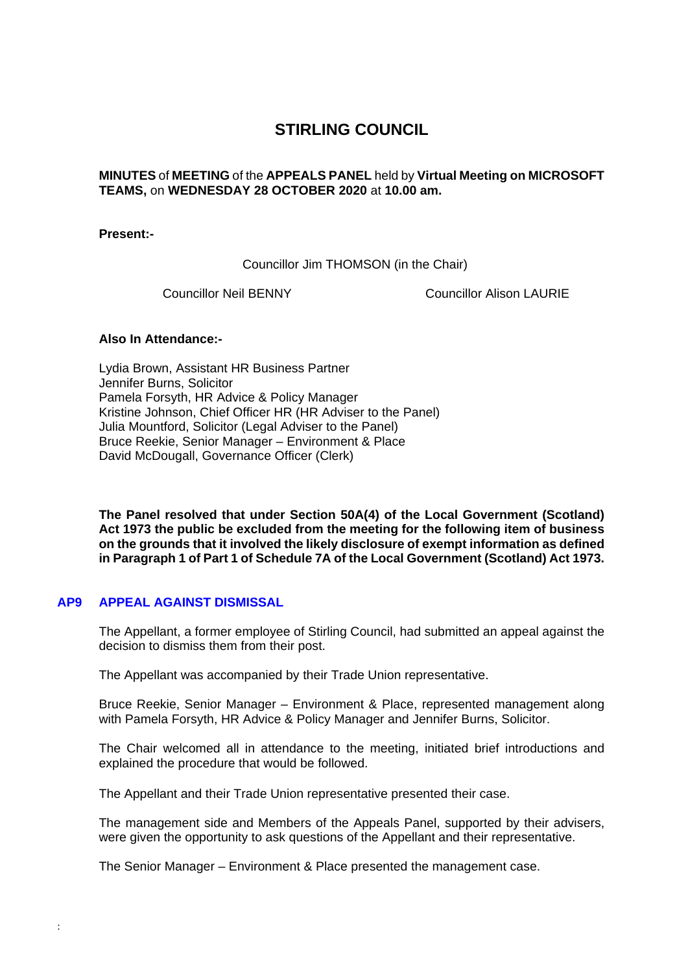# **STIRLING COUNCIL**

# **MINUTES** of **MEETING** of the **APPEALS PANEL** held by **Virtual Meeting on MICROSOFT TEAMS,** on **WEDNESDAY 28 OCTOBER 2020** at **10.00 am.**

#### **Present:-**

Councillor Jim THOMSON (in the Chair)

Councillor Neil BENNY Councillor Alison LAURIE

### **Also In Attendance:-**

Lydia Brown, Assistant HR Business Partner Jennifer Burns, Solicitor Pamela Forsyth, HR Advice & Policy Manager Kristine Johnson, Chief Officer HR (HR Adviser to the Panel) Julia Mountford, Solicitor (Legal Adviser to the Panel) Bruce Reekie, Senior Manager – Environment & Place David McDougall, Governance Officer (Clerk)

**The Panel resolved that under Section 50A(4) of the Local Government (Scotland) Act 1973 the public be excluded from the meeting for the following item of business on the grounds that it involved the likely disclosure of exempt information as defined in Paragraph 1 of Part 1 of Schedule 7A of the Local Government (Scotland) Act 1973.** 

# **AP9 [APPEAL AGAINST DISMISSAL](/forms/request.htm)**

:

The Appellant, a former employee of Stirling Council, had submitted an appeal against the decision to dismiss them from their post.

The Appellant was accompanied by their Trade Union representative.

Bruce Reekie, Senior Manager – Environment & Place, represented management along with Pamela Forsyth, HR Advice & Policy Manager and Jennifer Burns, Solicitor.

The Chair welcomed all in attendance to the meeting, initiated brief introductions and explained the procedure that would be followed.

The Appellant and their Trade Union representative presented their case.

The management side and Members of the Appeals Panel, supported by their advisers, were given the opportunity to ask questions of the Appellant and their representative.

The Senior Manager – Environment & Place presented the management case.